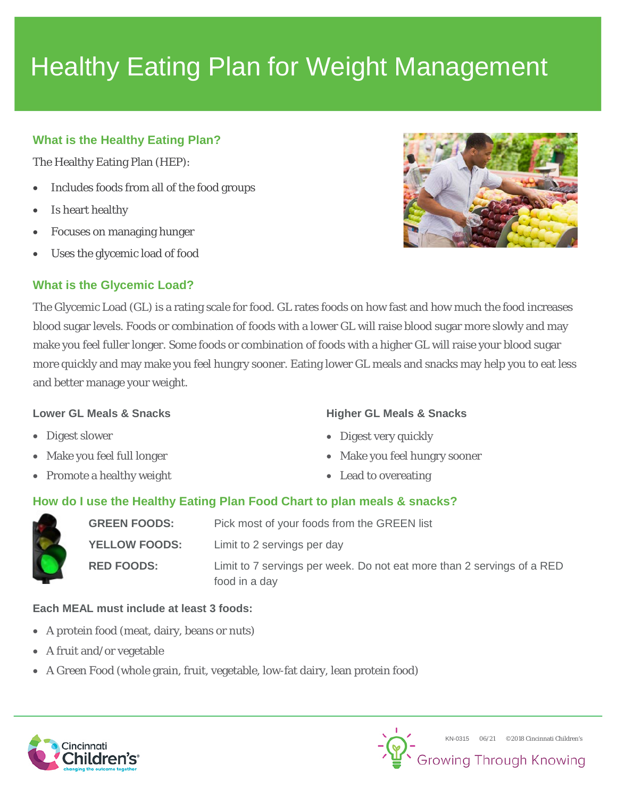# Healthy Eating Plan for Weight Management

### **What is the Healthy Eating Plan?**

The Healthy Eating Plan (HEP):

- Includes foods from all of the food groups
- Is heart healthy
- Focuses on managing hunger
- Uses the glycemic load of food

### **What is the Glycemic Load?**



The Glycemic Load (GL) is a rating scale for food. GL rates foods on how fast and how much the food increases blood sugar levels. Foods or combination of foods with a lower GL will raise blood sugar more slowly and may make you feel fuller longer. Some foods or combination of foods with a higher GL will raise your blood sugar more quickly and may make you feel hungry sooner. Eating lower GL meals and snacks may help you to eat less and better manage your weight.

#### **Lower GL Meals & Snacks**

- Digest slower
- Make you feel full longer
- Promote a healthy weight
- **Higher GL Meals & Snacks**
- Digest very quickly
- Make you feel hungry sooner
- Lead to overeating

### **How do I use the Healthy Eating Plan Food Chart to plan meals & snacks?**

| <b>GREEN FOODS:</b>  | Pick most of your foods from the GREEN list                                             |  |
|----------------------|-----------------------------------------------------------------------------------------|--|
| <b>YELLOW FOODS:</b> | Limit to 2 servings per day                                                             |  |
| <b>RED FOODS:</b>    | Limit to 7 servings per week. Do not eat more than 2 servings of a RED<br>food in a day |  |

### **Each MEAL must include at least 3 foods:**

- A protein food (meat, dairy, beans or nuts)
- A fruit and/or vegetable
- A Green Food (whole grain, fruit, vegetable, low-fat dairy, lean protein food)



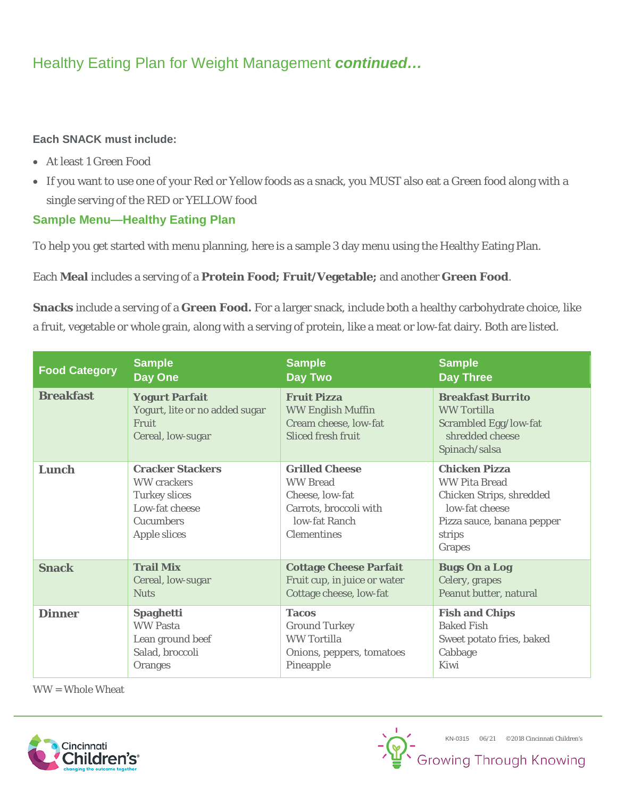# Healthy Eating Plan for Weight Management *continued…*

### **Each SNACK must include:**

- At least 1 Green Food
- If you want to use one of your Red or Yellow foods as a snack, you MUST also eat a Green food along with a single serving of the RED or YELLOW food

### **Sample Menu—Healthy Eating Plan**

To help you get started with menu planning, here is a sample 3 day menu using the Healthy Eating Plan.

Each **Meal** includes a serving of a **Protein Food; Fruit/Vegetable;** and another **Green Food**.

**Snacks** include a serving of a **Green Food.** For a larger snack, include both a healthy carbohydrate choice, like a fruit, vegetable or whole grain, along with a serving of protein, like a meat or low-fat dairy. Both are listed.

| <b>Food Category</b> | <b>Sample</b>                                                                                                                      | <b>Sample</b>                                                                                                                | <b>Sample</b>                                                                                                                                |
|----------------------|------------------------------------------------------------------------------------------------------------------------------------|------------------------------------------------------------------------------------------------------------------------------|----------------------------------------------------------------------------------------------------------------------------------------------|
|                      | Day One                                                                                                                            | <b>Day Two</b>                                                                                                               | <b>Day Three</b>                                                                                                                             |
| <b>Breakfast</b>     | <b>Yogurt Parfait</b><br>Yogurt, lite or no added sugar<br><b>Fruit</b><br>Cereal, low-sugar                                       | <b>Fruit Pizza</b><br><b>WW English Muffin</b><br>Cream cheese, low-fat<br><b>Sliced fresh fruit</b>                         | <b>Breakfast Burrito</b><br><b>WW Tortilla</b><br>Scrambled Egg/low-fat<br>shredded cheese<br>Spinach/salsa                                  |
| Lunch                | <b>Cracker Stackers</b><br><b>WW</b> crackers<br><b>Turkey slices</b><br>Low-fat cheese<br><b>Cucumbers</b><br><b>Apple slices</b> | <b>Grilled Cheese</b><br><b>WW Bread</b><br>Cheese, low-fat<br>Carrots, broccoli with<br>low-fat Ranch<br><b>Clementines</b> | <b>Chicken Pizza</b><br><b>WW Pita Bread</b><br>Chicken Strips, shredded<br>low-fat cheese<br>Pizza sauce, banana pepper<br>strips<br>Grapes |
| <b>Snack</b>         | <b>Trail Mix</b>                                                                                                                   | <b>Cottage Cheese Parfait</b>                                                                                                | <b>Bugs On a Log</b>                                                                                                                         |
|                      | Cereal, low-sugar                                                                                                                  | Fruit cup, in juice or water                                                                                                 | <b>Celery</b> , grapes                                                                                                                       |
|                      | <b>Nuts</b>                                                                                                                        | Cottage cheese, low-fat                                                                                                      | Peanut butter, natural                                                                                                                       |
| <b>Dinner</b>        | <b>Spaghetti</b>                                                                                                                   | <b>Tacos</b>                                                                                                                 | <b>Fish and Chips</b>                                                                                                                        |
|                      | <b>WW Pasta</b>                                                                                                                    | <b>Ground Turkey</b>                                                                                                         | <b>Baked Fish</b>                                                                                                                            |
|                      | Lean ground beef                                                                                                                   | <b>WW Tortilla</b>                                                                                                           | Sweet potato fries, baked                                                                                                                    |
|                      | Salad, broccoli                                                                                                                    | Onions, peppers, tomatoes                                                                                                    | Cabbage                                                                                                                                      |
|                      | <b>Oranges</b>                                                                                                                     | Pineapple                                                                                                                    | Kiwi                                                                                                                                         |

WW = Whole Wheat



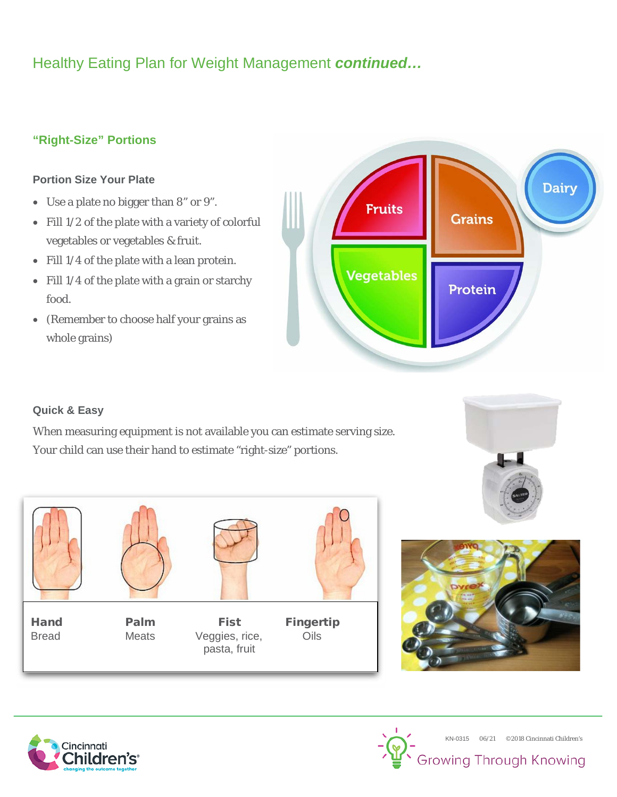# Healthy Eating Plan for Weight Management *continued…*

### **"Right-Size" Portions**

### **Portion Size Your Plate**

- Use a plate no bigger than 8" or 9".
- Fill 1/2 of the plate with a variety of colorful vegetables or vegetables & fruit.
- Fill 1/4 of the plate with a lean protein.
- Fill 1/4 of the plate with a grain or starchy food.
- (Remember to choose half your grains as whole grains)



### **Quick & Easy**

When measuring equipment is not available you can estimate serving size. Your child can use their hand to estimate "right-size" portions.







Bread Meats Veggies, rice, Oils pasta, fruit